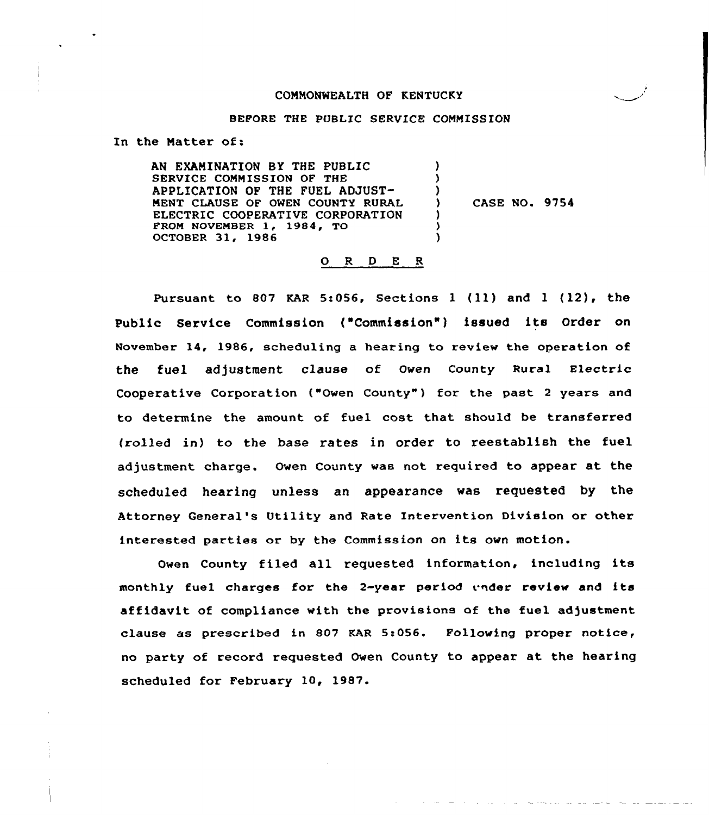#### COMMONWEALTH OF KENTUCKY

#### BEFORE THE PUBLIC SERVICE COMMISSION

In the Natter of:

AN EXAMINATION BY THE PUBLIC SERVICE COMMISSION OF THE APPLICATION OF THE FUEL ADJUST-MENT CLAUSE OF OWEN COUNTY RURAL ELECTRIC COOPERATIVE CORPORATION FROM NOVEMBER 1, 1984, TO OCTOBER 31, 1986 ) ) ) ) CASE NO. 9754 ) ) )

#### O R D E R

Pursuant to <sup>807</sup> KAR 5:056, Sections <sup>1</sup> (ll) and <sup>1</sup> (12), the Public Service Commission ("Commission") issued its Order on November 14, 1986, scheduling a hearing to review the operation of the fuel adjustment clause of Owen County Rural Electric Cooperative Corporation ("Owen County" ) for the past <sup>2</sup> years and to determine the amount of fuel cost that should be transferred (rolled in) to the base rates in order to reestablish the fuel adjustment charge. Owen County was not required to appear at the scheduled hearing unless an appearance was requested by the Attorney General's Utility and Rate intervention Division or other interested parties or by the Commission on its own motion.

Owen County filed all requested information, including its monthly fuel charges for the 2-year period under review and its affidavit of compliance with the provisions of the fuel adjustment clause as prescribed in &07 KAR 5:056. Following proper notice, no party of record requested Owen County to appear at the hearing scheduled for February 10, 1987.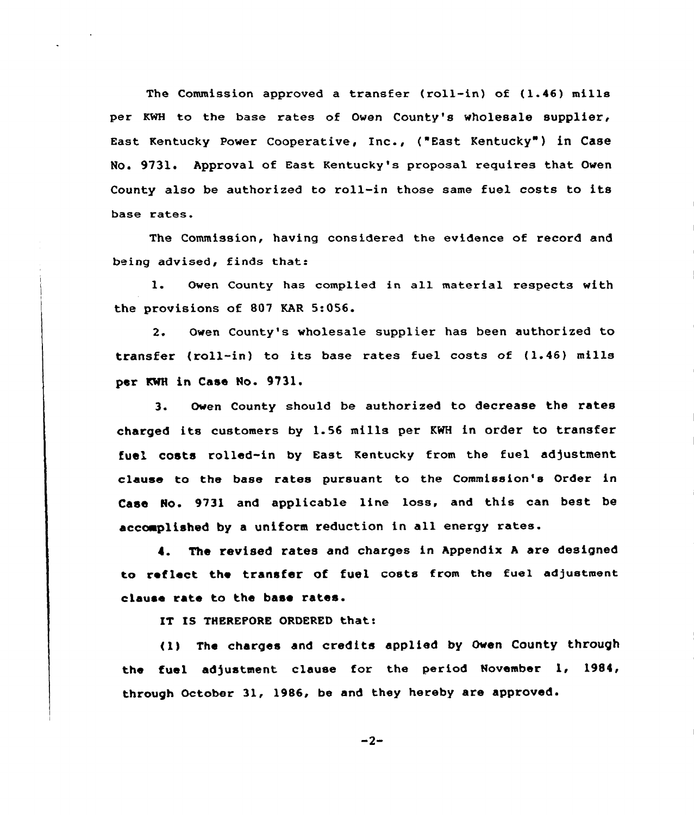The Commission approved a transfer (roll-in) of (1.46) mills per KWH to the base rates of Owen County's wholesale supplier, East Kentucky Power Cooperative, Inc., ("East Kentucky") in Case No. 9731. Approval of East Kentucky's proposal requires that Owen County also be authorized to roll-in those same fuel costs to its base rates.

The Commission, having considered the evidence of record and being advised, finds that:

l. Owen County has complied in all material respects with the provisions of 807 KAR 5:056.

2. Owen County's wholesale supplier has been authorized to transfer (roll-in) to its base rates fuel costs of (1.46) mills transfer (roll-in) to it.<br>p<mark>er KW</mark>H <mark>in Case No. 9731.</mark>

3. Oven County should be authorized to decrease the rates charged its customers by 1.56 mills per KWH in order to transfer fuel costs rolled-in by East Kentucky from the fuel adjustment clause to the base rates pursuant to the Commission's Order in Case Ho. 9731 and applicable line loss, and this can best be accoaplished by <sup>a</sup> uniform reduction in all energy rates.

4. The revised rates and charges in Appendix <sup>A</sup> are designed to reflect the transfer of fuel costs from the fuel adjustment clause rate to the base rates.

IT IS THEREPORE ORDERED that:

(1) The charges and credits applied by Oven County through the fuel adjustment clause for the period November 1, 1984, through October 31, 1986, be and they hereby are approved'

 $-2-$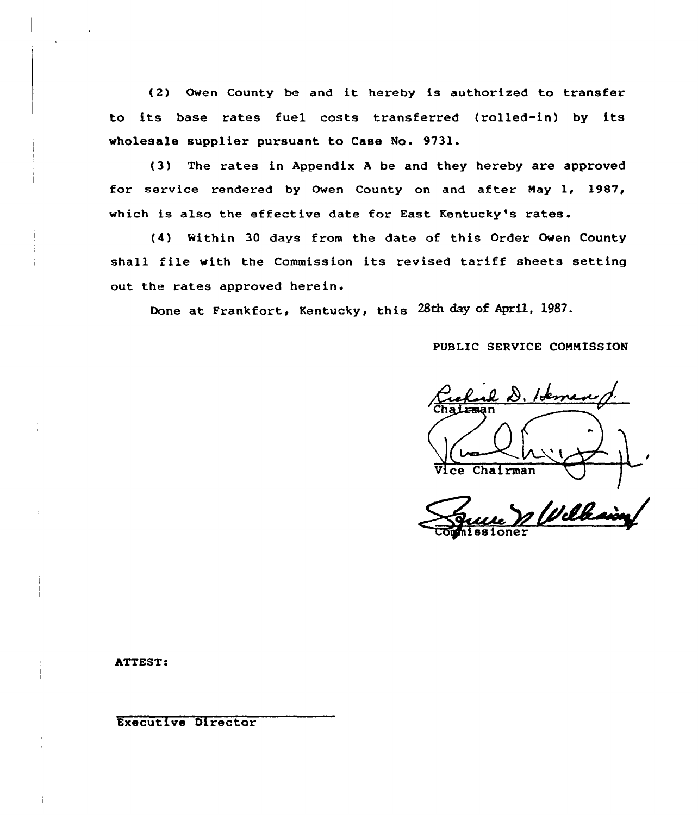(2) Owen County be and it hereby is authorized to transfer to its base rates fuel costs transferred (rolled-in) by its wholesale supplier pursuant to Case No. 9731.

(3) The rates in Appendix <sup>A</sup> be and they hereby are approved for service rendered by Owen County on and after Nay 1, 1987, which is also the effective date for East Kentucky's rates.

(4) Within 30 days from the date of this Order Oven County shall file with the Commission its revised tariff sheets setting out the rates approved herein.

Done at Frankfort, Kentucky, this 28th day of April. 1987.

PUBLIC SERVICE COMMISSION

 $8.1$ tema I ce Chairman

Well

ATTEST:

Executive Director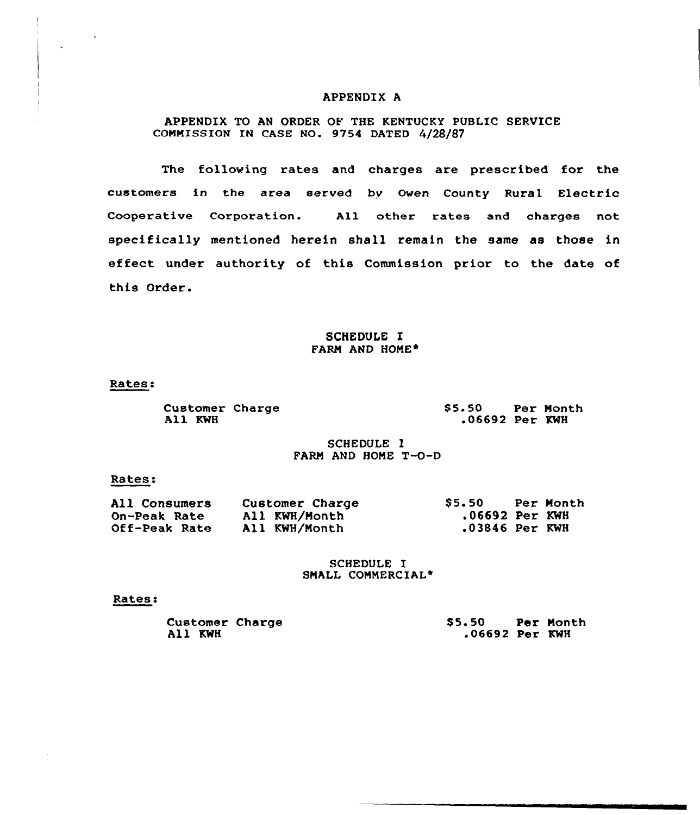## APPENDIX A

# APPENDIX TO AN ORDER OF THE KENTUCKY PUBLIC SERVICE COMMISSION IN CASE NO. 9754 DATED 4/28/87

The following rates and charges are prescribed for the customers in the area served by Owen County Rural Electric Cooperative Corporation. All other rates and charges not specifically mentioned herein shall remain the same as those in effect under authority of this Commission prior to the date of this Order.

## SCHEDULE I FARM AND HOME\*

Rates:

Customer Charge All KWH

\$ 5.50 Per Month .06692 Per KWH

SCHEDULE l FARM AND HONE T-O-D

## Rates:

| All Consumers | Customer Charge | S5.50            | Per Month |
|---------------|-----------------|------------------|-----------|
| On-Peak Rate  | All KWH/Month   | $.06692$ Per KWH |           |
| Off-Peak Rate | All KWH/Month   | .03846 Per KWH   |           |

#### SCHEDULE I SMALL COMMERCIAL\*

#### Rates:

| Customer Charge<br>All KWH | S5.50<br>$.06692$ Per KWH | Per Month |
|----------------------------|---------------------------|-----------|
|                            |                           |           |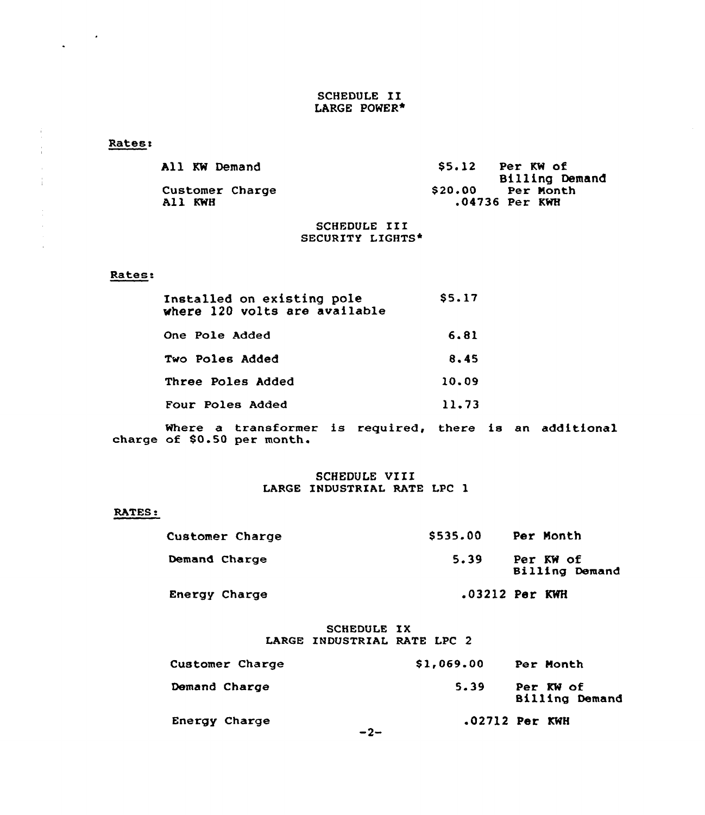## SCHEDULE II LARGE POWER\*

## **Rates:**

 $\frac{1}{\sqrt{2}}\left(\frac{1}{\sqrt{2}}\right)^{2}$ 

÷

| All KW Demand              | S5.12<br>Per KW of<br>Billing Demand     |
|----------------------------|------------------------------------------|
| Customer Charge<br>All KWH | \$20.00<br>Per Month<br>$.04736$ Per KWH |
|                            |                                          |

## SCHEDULE III SECURITY LIGHTS\*

## Rates.

| Installed on existing pole<br>where 120 volts are available | \$5.17 |
|-------------------------------------------------------------|--------|
| One Pole Added                                              | 6.81   |
| Two Poles Added                                             | 8.45   |
| Three Poles Added                                           | 10.09  |
| Four Poles Added                                            | 11.73  |

Where a transformer is required charge of \$0.50 per month. there is an additiona

## SCHEDULE VIII LARGE INDUSTRIAL RATE LPC 1

### RATES:

| Customer Charge | \$535.00 | Per Month                   |
|-----------------|----------|-----------------------------|
| Demand Charge   | 5.39     | Per KW of<br>Billing Demand |
| Energy Charge   |          | $.03212$ Per KWH            |

## SCHEDULE IX LARGE INDUSTRIAL RATE LPC 2

| Customer Charge | \$1,069.00 | Per Month      |                       |
|-----------------|------------|----------------|-----------------------|
| Demand Charge   | 5.39       | Per KW of      | <b>Billing Demand</b> |
| Energy Charge   | $-2-$      | .02712 Per KWH |                       |